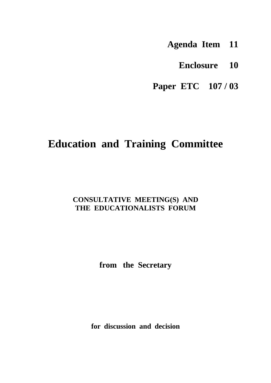- **Agenda Item 11**
	- **Enclosure 10**
- **Paper ETC 107 / 03**

# **Education and Training Committee**

## **CONSULTATIVE MEETING(S) AND THE EDUCATIONALISTS FORUM**

**from the Secretary**

**for discussion and decision**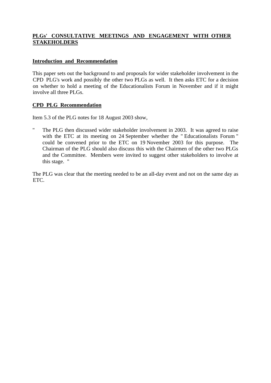#### **PLGs' CONSULTATIVE MEETINGS AND ENGAGEMENT WITH OTHER STAKEHOLDERS**

#### **Introduction and Recommendation**

This paper sets out the background to and proposals for wider stakeholder involvement in the CPD PLG's work and possibly the other two PLGs as well. It then asks ETC for a decision on whether to hold a meeting of the Educationalists Forum in November and if it might involve all three PLGs.

#### **CPD PLG Recommendation**

Item 5.3 of the PLG notes for 18 August 2003 show,

" The PLG then discussed wider stakeholder involvement in 2003. It was agreed to raise with the ETC at its meeting on 24 September whether the " Educationalists Forum " could be convened prior to the ETC on 19 November 2003 for this purpose. The Chairman of the PLG should also discuss this with the Chairmen of the other two PLGs and the Committee. Members were invited to suggest other stakeholders to involve at this stage. "

The PLG was clear that the meeting needed to be an all-day event and not on the same day as ETC.